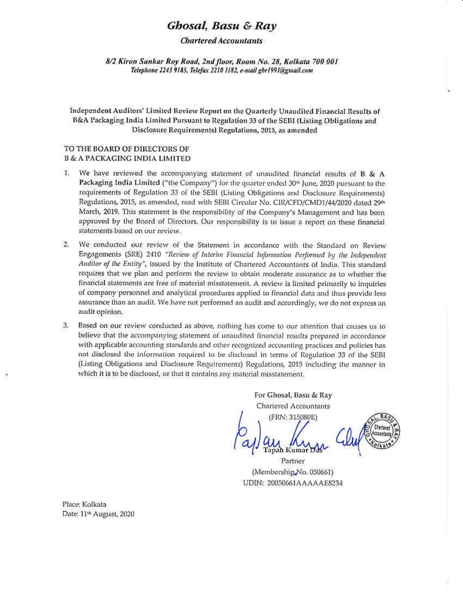# Ghosal, Basu & Ray

## **Chartered Accountants**

8/2 Kiron Sankar Roy Road, 2nd floor, Room No. 28, Kolkata 700 001 Telephone 2243 9185, Telefax 2210 1182, e-mail gbr1991@gmail.com

Independent Auditors' Limited Review Report on the Quarterly Unaudited Financial Results of B&A Packaging India Limited Pursuant to Regulation 33 of the SEBI (Listing Obligations and Disclosure Requirements) Regulations, 2015, as amended

## TO THE BOARD OF DIRECTORS OF **B & A PACKAGING INDIA LIMITED**

- 1. We have reviewed the accompanying statement of unaudited financial results of B & A Packaging India Limited ("the Company") for the quarter ended 30<sup>th</sup> June, 2020 pursuant to the requirements of Regulation 33 of the SEBI (Listing Obligations and Disclosure Requirements) Regulations, 2015, as amended, read with SEBI Circular No. CIR/CFD/CMD1/44/2020 dated 29<sup>th</sup> March, 2019. This statement is the responsibility of the Company's Management and has been approved by the Board of Directors. Our responsibility is to issue a report on these financial statements based on our review.
- We conducted our review of the Statement in accordance with the Standard on Review  $2.$ Engagements (SRE) 2410 "Review of Interim Financial Information Performed by the Independent Auditor of the Entity", issued by the Institute of Chartered Accountants of India. This standard requires that we plan and perform the review to obtain moderate assurance as to whether the financial statements are free of material misstatement. A review is limited primarily to inquiries of company personnel and analytical procedures applied to financial data and thus provide less assurance than an audit. We have not performed an audit and accordingly, we do not express an audit opinion.
- 3. Based on our review conducted as above, nothing has come to our attention that causes us to believe that the accompanying statement of unaudited financial results prepared in accordance with applicable accounting standards and other recognized accounting practices and policies has not disclosed the information required to be disclosed in terms of Regulation 33 of the SEBI (Listing Obligations and Disclosure Requirements) Regulations, 2015 including the manner in which it is to be disclosed, or that it contains any material misstatement.

For Ghosal, Basu & Ray Chartered Accountants (FRN: 315080E)

Partner (Membership No. 050661) UDIN: 20050661AAAAAE8234

Place: Kolkata Date: 11<sup>th</sup> August, 2020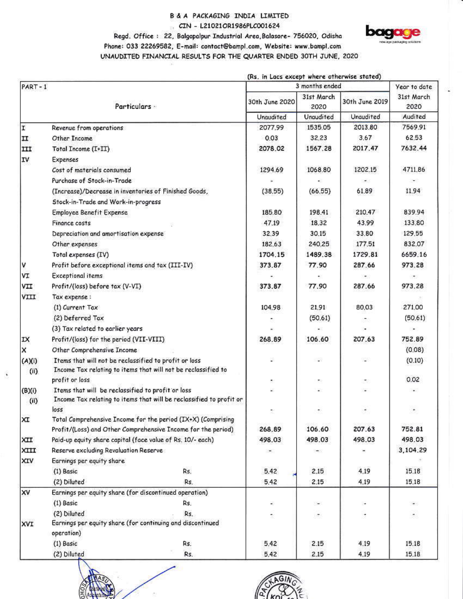## B & A PACKAGING INDIA LIMITED .. CIN - L21021OR1986PLC001624 Regd. Office: 22, Balgopalpur Industrial Area, Balasore- 756020, Odisha



# Phone: 033 22269582, E-mail: contact@bampl.com, Website: www.bampl.com UNAUDITED FINANCIAL RESULTS FOR THE QUARTER ENDED 30TH JUNE, 2020

| $PART - 1$     |                                                                                                                          | (Rs. in Lacs except where otherwise stated)<br>3 months ended |                                 |                             | Year to date                  |
|----------------|--------------------------------------------------------------------------------------------------------------------------|---------------------------------------------------------------|---------------------------------|-----------------------------|-------------------------------|
|                | Particulars -                                                                                                            | 30th June 2020                                                | 31st March<br>2020<br>Unaudited | 30th June 2019<br>Unaudited | 31st March<br>2020<br>Audited |
|                |                                                                                                                          | Unaudited                                                     |                                 |                             |                               |
| I              | Revenue from operations                                                                                                  | 2077,99                                                       | 1535.05                         | 2013.80                     | 7569.91                       |
| п              | Other Income                                                                                                             | 0.03                                                          | 32.23                           | 3.67                        | 62.53                         |
| III            | Total Income (I+II)                                                                                                      | 2078.02                                                       | 1567.28                         | 2017.47                     | 7632.44                       |
| IV             | Expenses                                                                                                                 |                                                               |                                 |                             |                               |
|                | Cost of materials consumed                                                                                               | 1294.69                                                       | 1068.80                         | 1202.15                     | 4711.86                       |
|                | Purchase of Stock-in-Trade                                                                                               |                                                               |                                 | $\bullet$ .                 | $\overline{\phantom{a}}$      |
|                | (Increase)/Decrease in inventories of Finished Goods,                                                                    | (38.55)                                                       | (66.55)                         | 61.89                       | 11.94                         |
|                | Stock-in-Trade and Work-in-progress                                                                                      |                                                               |                                 |                             |                               |
|                | Employee Benefit Expense                                                                                                 | 185.80                                                        | 198.41                          | 210.47                      | 839.94                        |
|                | Finance costs                                                                                                            | 47.19                                                         | 18.32                           | 43.99                       | 133.80                        |
|                | Depreciation and amortisation expense                                                                                    | 32.39                                                         | 30.15                           | 33.80                       | 129,55                        |
|                | Other expenses                                                                                                           | 182,63                                                        | 240.25                          | 177.51                      | 832.07                        |
|                | Total expenses (IV)                                                                                                      | 1704.15                                                       | 1489.38                         | 1729.81                     | 6659.16                       |
| ٧              | Profit before exceptional items and tax (III-IV)                                                                         | 373.87                                                        | 77.90                           | 287.66                      | 973.28                        |
| VI             | Exceptional items                                                                                                        |                                                               |                                 |                             | œ.                            |
| VII            | Profit/(loss) before tax (V-VI)                                                                                          | 373.87                                                        | 77.90                           | 287.66                      | 973.28                        |
| VIII           | Tax expense :                                                                                                            |                                                               |                                 |                             |                               |
|                | (1) Current Tax                                                                                                          | 104.98                                                        | 21.91                           | 80.03                       | 271.00                        |
|                | (2) Deferred Tax                                                                                                         |                                                               | (50.61)                         | 图                           | (50.61)                       |
|                | (3) Tax related to earlier years                                                                                         |                                                               |                                 |                             |                               |
| IХ             | Profit/(loss) for the period (VII-VIII)                                                                                  | 268.89                                                        | 106.60                          | 207.63                      | 752.89                        |
| ×              | Other Comprehensive Income                                                                                               |                                                               |                                 |                             | (0.08)                        |
| (A)(i)<br>(i)  | Items that will not be reclassified to profit or loss<br>Income Tax relating to items that will not be reclassified to   |                                                               | w.                              | 뜻                           | (0.10)                        |
|                | profit or loss                                                                                                           | $\overline{\phantom{a}}$                                      | ÷                               | $\sim$                      | 0.02                          |
| (B)(i)<br>(ii) | Items that will be reclassified to profit or loss<br>Income Tax relating to items that will be reclassified to profit or |                                                               | z.                              |                             | $\sim$                        |
|                | loss                                                                                                                     | E.                                                            | ٠                               | ۰                           | ٠                             |
| XI             | Total Comprehensive Income for the period (IX+X) (Comprising                                                             |                                                               |                                 |                             |                               |
|                | Profit/(Loss) and Other Comprehensive Income for the period)                                                             | 268.89                                                        | 106.60                          | 207.63                      | 752.81                        |
| XII            | Paid-up equity share capital (face value of Rs. 10/- each)                                                               | 498.03                                                        | 498.03                          | 498.03                      | 498.03                        |
| XIII           | Reserve excluding Revaluation Reserve                                                                                    | $\overline{\phantom{a}}$                                      | $\rightarrow$                   |                             | 3,104.29                      |
| XIV            | Earnings per equity share                                                                                                |                                                               |                                 |                             |                               |
|                | (1) Basic<br>Rs.                                                                                                         | 5.42                                                          | 2.15                            | 4,19                        | 15.18                         |
|                | (2) Diluted<br>Rs.                                                                                                       | 5,42                                                          | 2.15                            | 4.19                        | 15.18                         |
| XV             | Earnings per equity share (for discontinued operation)                                                                   |                                                               |                                 |                             |                               |
|                | (1) Basic<br>Rs.                                                                                                         | ×                                                             | $\overline{\phantom{m}}$        | ×                           | $\frac{1}{2}$                 |
| XVI            | (2) Diluted<br>Rs.<br>Earnings per equity share (for continuing and discontinued<br>operation)                           | ś                                                             | $\sim$                          | ٠                           | $\overline{\phantom{a}}$      |
|                | (1) Basic<br>Rs.                                                                                                         | 5.42                                                          | 2.15                            | 4.19                        | 15.18                         |
|                | (2) Diluted<br>Rs.                                                                                                       | 5,42                                                          | 2.15                            | 4.19                        | 15.18                         |



 $\ddot{\phantom{0}}$ 

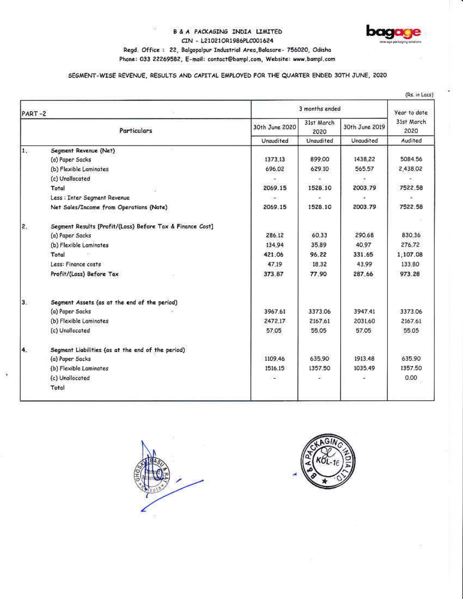# B & A PACKAGING INDIA LIMITED CIN - L21021OR1986PLC001624



#### Regd. Office: 22, Balgopalpur Industrial Area, Balasore- 756020, Odisha Phone: 033 22269582, E-mail: contact@bampl.com, Website: www.bampl.com

## SEGMENT-WISE REVENUE, RESULTS AND CAPITAL EMPLOYED FOR THE QUARTER ENDED 30TH JUNE, 2020

| 浴<br>PART-2 |                                                           | 3 months ended              |                                 |                             | Year to date                  |
|-------------|-----------------------------------------------------------|-----------------------------|---------------------------------|-----------------------------|-------------------------------|
|             | Particulars                                               | 30th June 2020<br>Unaudited | 31st March<br>2020<br>Unaudited | 30th June 2019<br>Unaudited | 31st March<br>2020<br>Audited |
|             |                                                           |                             |                                 |                             |                               |
| 1.          | Segment Revenue (Net)                                     |                             |                                 |                             |                               |
|             | (a) Paper Sacks                                           | 1373.13                     | 899.00                          | 1438.22                     | 5084.56                       |
|             | (b) Flexible Laminates                                    | 696.02                      | 629.10                          | 565.57                      | 2,438.02                      |
|             | (c) Unallocated                                           |                             |                                 |                             |                               |
|             | Total                                                     | 2069.15                     | 1528.10                         | 2003.79                     | 7522,58                       |
|             | Less : Inter Segment Revenue                              | rieri i                     |                                 |                             |                               |
|             | Net Sales/Income from Operations (Note)                   | 2069.15                     | 1528.10                         | 2003.79                     | 7522.58                       |
| 2.          | Segment Results [Profit/(Loss) Before Tax & Finance Cost] |                             |                                 |                             |                               |
|             | (a) Paper Sacks                                           | 286.12                      | 60.33                           | 290.68                      | 830.36                        |
|             | (b) Flexible Laminates                                    | 134.94                      | 35.89                           | 40.97                       | 276,72                        |
|             | Total                                                     | 421.06                      | 96.22                           | 331.65                      | 1,107.08                      |
|             | Less: Finance costs                                       | 47.19                       | 18.32                           | 43.99                       | 133.80                        |
|             | Profit/(Loss) Before Tax                                  | 373.87                      | 77.90                           | 287.66                      | 973.28                        |
| 3.          | Segment Assets (as at the end of the period)              |                             |                                 |                             |                               |
|             | (a) Paper Sacks                                           | 3967.61                     | 3373.06                         | 3947.41                     | 3373.06                       |
|             | (b) Flexible Laminates                                    | 2472.17                     | 2167.61                         | 2031.60                     | 2167.61                       |
|             | (c) Unallocated                                           | 57.05                       | 55.05                           | 57.05                       | 55.05                         |
| 4.          | Segment Liabilities (as at the end of the period)         |                             |                                 |                             |                               |
|             | (a) Paper Sacks                                           | 1109.46                     | 635.90                          | 1913.48                     | 635.90                        |
|             | (b) Flexible Laminates                                    | 1516.15                     | 1357.50                         | 1035.49                     | 1357.50                       |
|             | (c) Unallocated                                           | si                          |                                 |                             | 0.00                          |
|             | Total                                                     |                             |                                 |                             |                               |
|             |                                                           |                             |                                 |                             |                               |